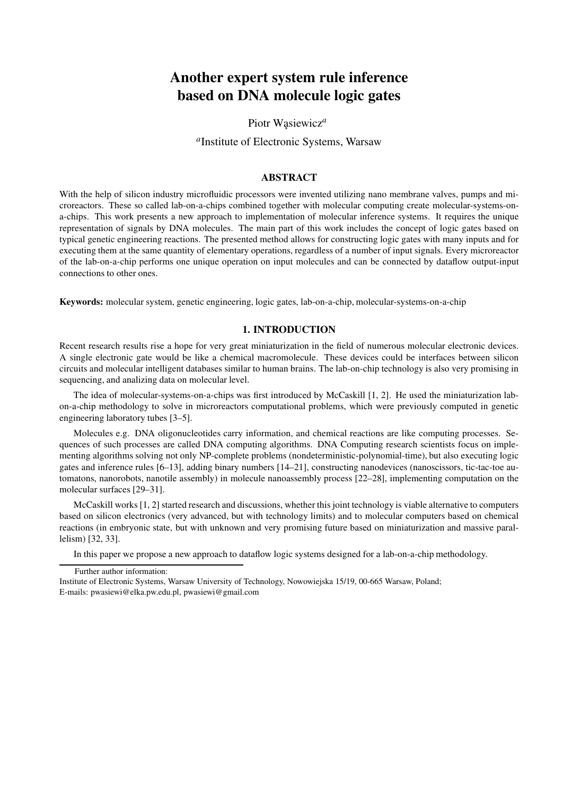# Another expert system rule inference based on DNA molecule logic gates

Piotr Wasiewicz<sup>a</sup>

*a* Institute of Electronic Systems, Warsaw

## ABSTRACT

With the help of silicon industry microfluidic processors were invented utilizing nano membrane valves, pumps and microreactors. These so called lab-on-a-chips combined together with molecular computing create molecular-systems-ona-chips. This work presents a new approach to implementation of molecular inference systems. It requires the unique representation of signals by DNA molecules. The main part of this work includes the concept of logic gates based on typical genetic engineering reactions. The presented method allows for constructing logic gates with many inputs and for executing them at the same quantity of elementary operations, regardless of a number of input signals. Every microreactor of the lab-on-a-chip performs one unique operation on input molecules and can be connected by dataflow output-input connections to other ones.

Keywords: molecular system, genetic engineering, logic gates, lab-on-a-chip, molecular-systems-on-a-chip

# 1. INTRODUCTION

Recent research results rise a hope for very great miniaturization in the field of numerous molecular electronic devices. A single electronic gate would be like a chemical macromolecule. These devices could be interfaces between silicon circuits and molecular intelligent databases similar to human brains. The lab-on-chip technology is also very promising in sequencing, and analizing data on molecular level.

The idea of molecular-systems-on-a-chips was first introduced by McCaskill [1, 2]. He used the miniaturization labon-a-chip methodology to solve in microreactors computational problems, which were previously computed in genetic engineering laboratory tubes [3–5].

Molecules e.g. DNA oligonucleotides carry information, and chemical reactions are like computing processes. Sequences of such processes are called DNA computing algorithms. DNA Computing research scientists focus on implementing algorithms solving not only NP-complete problems (nondeterministic-polynomial-time), but also executing logic gates and inference rules [6–13], adding binary numbers [14–21], constructing nanodevices (nanoscissors, tic-tac-toe automatons, nanorobots, nanotile assembly) in molecule nanoassembly process [22–28], implementing computation on the molecular surfaces [29–31].

McCaskill works [1, 2] started research and discussions, whether this joint technology is viable alternative to computers based on silicon electronics (very advanced, but with technology limits) and to molecular computers based on chemical reactions (in embryonic state, but with unknown and very promising future based on miniaturization and massive parallelism) [32, 33].

In this paper we propose a new approach to dataflow logic systems designed for a lab-on-a-chip methodology.

Further author information:

Institute of Electronic Systems, Warsaw University of Technology, Nowowiejska 15/19, 00-665 Warsaw, Poland; E-mails: pwasiewi@elka.pw.edu.pl, pwasiewi@gmail.com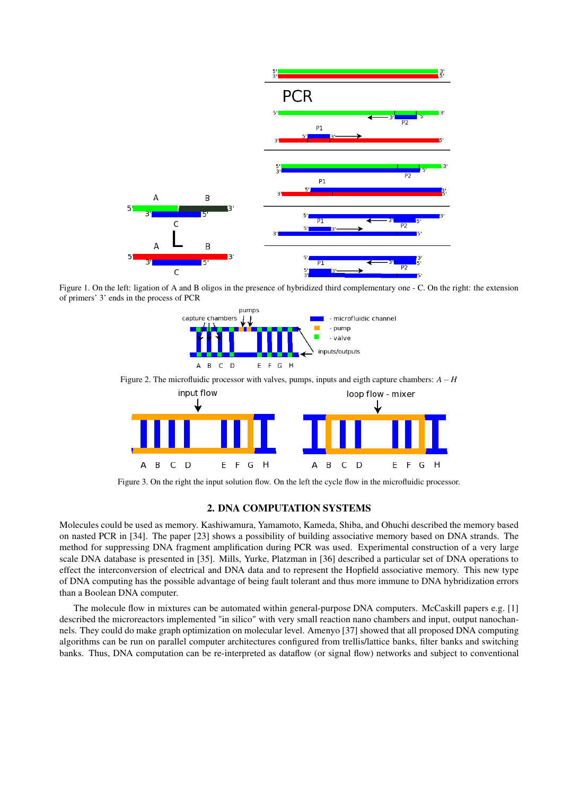

Figure 1. On the left: ligation of A and B oligos in the presence of hybridized third complementary one - C. On the right: the extension of primers' 3' ends in the process of PCR



Figure 3. On the right the input solution flow. On the left the cycle flow in the microfluidic processor.

#### 2. DNA COMPUTATION SYSTEMS

Molecules could be used as memory. Kashiwamura, Yamamoto, Kameda, Shiba, and Ohuchi described the memory based on nasted PCR in [34]. The paper [23] shows a possibility of building associative memory based on DNA strands. The method for suppressing DNA fragment amplification during PCR was used. Experimental construction of a very large scale DNA database is presented in [35]. Mills, Yurke, Platzman in [36] described a particular set of DNA operations to effect the interconversion of electrical and DNA data and to represent the Hopfield associative memory. This new type of DNA computing has the possible advantage of being fault tolerant and thus more immune to DNA hybridization errors than a Boolean DNA computer.

The molecule flow in mixtures can be automated within general-purpose DNA computers. McCaskill papers e.g. [1] described the microreactors implemented "in silico" with very small reaction nano chambers and input, output nanochannels. They could do make graph optimization on molecular level. Amenyo [37] showed that all proposed DNA computing algorithms can be run on parallel computer architectures configured from trellis/lattice banks, filter banks and switching banks. Thus, DNA computation can be re-interpreted as dataflow (or signal flow) networks and subject to conventional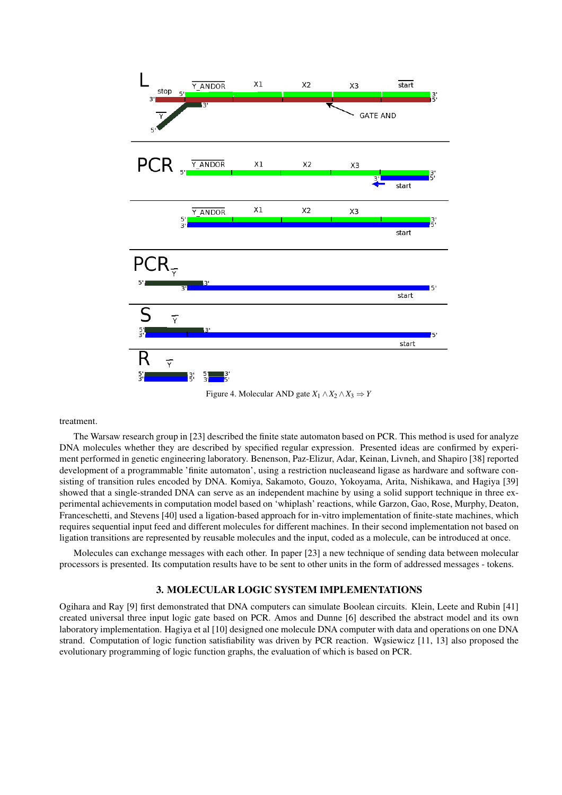

Figure 4. Molecular AND gate  $X_1 \wedge X_2 \wedge X_3 \Rightarrow Y$ 

treatment.

The Warsaw research group in [23] described the finite state automaton based on PCR. This method is used for analyze DNA molecules whether they are described by specified regular expression. Presented ideas are confirmed by experiment performed in genetic engineering laboratory. Benenson, Paz-Elizur, Adar, Keinan, Livneh, and Shapiro [38] reported development of a programmable 'finite automaton', using a restriction nucleaseand ligase as hardware and software consisting of transition rules encoded by DNA. Komiya, Sakamoto, Gouzo, Yokoyama, Arita, Nishikawa, and Hagiya [39] showed that a single-stranded DNA can serve as an independent machine by using a solid support technique in three experimental achievements in computation model based on 'whiplash' reactions, while Garzon, Gao, Rose, Murphy, Deaton, Franceschetti, and Stevens [40] used a ligation-based approach for in-vitro implementation of finite-state machines, which requires sequential input feed and different molecules for different machines. In their second implementation not based on ligation transitions are represented by reusable molecules and the input, coded as a molecule, can be introduced at once.

Molecules can exchange messages with each other. In paper [23] a new technique of sending data between molecular processors is presented. Its computation results have to be sent to other units in the form of addressed messages - tokens.

## 3. MOLECULAR LOGIC SYSTEM IMPLEMENTATIONS

Ogihara and Ray [9] first demonstrated that DNA computers can simulate Boolean circuits. Klein, Leete and Rubin [41] created universal three input logic gate based on PCR. Amos and Dunne [6] described the abstract model and its own laboratory implementation. Hagiya et al [10] designed one molecule DNA computer with data and operations on one DNA strand. Computation of logic function satisfiability was driven by PCR reaction. Wasiewicz  $[11, 13]$  also proposed the evolutionary programming of logic function graphs, the evaluation of which is based on PCR.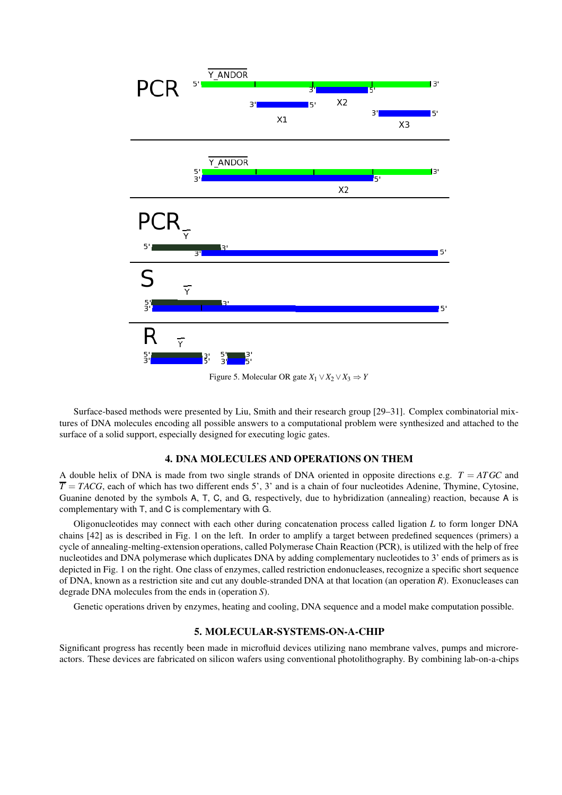

Figure 5. Molecular OR gate  $X_1 \vee X_2 \vee X_3 \Rightarrow Y$ 

Surface-based methods were presented by Liu, Smith and their research group [29–31]. Complex combinatorial mixtures of DNA molecules encoding all possible answers to a computational problem were synthesized and attached to the surface of a solid support, especially designed for executing logic gates.

# 4. DNA MOLECULES AND OPERATIONS ON THEM

A double helix of DNA is made from two single strands of DNA oriented in opposite directions e.g.  $T = ATGC$  and  $\overline{T}$  = *TACG*, each of which has two different ends 5', 3' and is a chain of four nucleotides Adenine, Thymine, Cytosine, Guanine denoted by the symbols A, T, C, and G, respectively, due to hybridization (annealing) reaction, because A is complementary with T, and C is complementary with G.

Oligonucleotides may connect with each other during concatenation process called ligation *L* to form longer DNA chains [42] as is described in Fig. 1 on the left. In order to amplify a target between predefined sequences (primers) a cycle of annealing-melting-extension operations, called Polymerase Chain Reaction (PCR), is utilized with the help of free nucleotides and DNA polymerase which duplicates DNA by adding complementary nucleotides to 3' ends of primers as is depicted in Fig. 1 on the right. One class of enzymes, called restriction endonucleases, recognize a specific short sequence of DNA, known as a restriction site and cut any double-stranded DNA at that location (an operation *R*). Exonucleases can degrade DNA molecules from the ends in (operation *S*).

Genetic operations driven by enzymes, heating and cooling, DNA sequence and a model make computation possible.

## 5. MOLECULAR-SYSTEMS-ON-A-CHIP

Significant progress has recently been made in microfluid devices utilizing nano membrane valves, pumps and microreactors. These devices are fabricated on silicon wafers using conventional photolithography. By combining lab-on-a-chips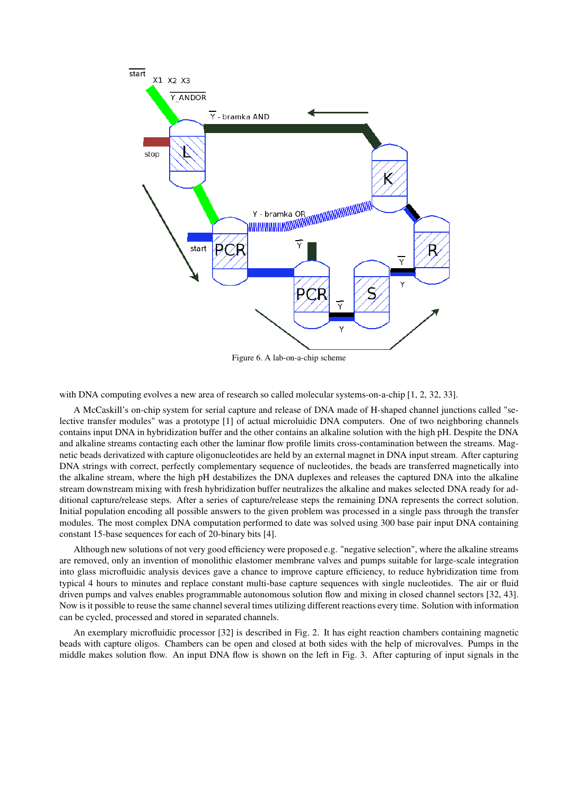

Figure 6. A lab-on-a-chip scheme

with DNA computing evolves a new area of research so called molecular systems-on-a-chip [1, 2, 32, 33].

A McCaskill's on-chip system for serial capture and release of DNA made of H-shaped channel junctions called "selective transfer modules" was a prototype [1] of actual microluidic DNA computers. One of two neighboring channels contains input DNA in hybridization buffer and the other contains an alkaline solution with the high pH. Despite the DNA and alkaline streams contacting each other the laminar flow profile limits cross-contamination between the streams. Magnetic beads derivatized with capture oligonucleotides are held by an external magnet in DNA input stream. After capturing DNA strings with correct, perfectly complementary sequence of nucleotides, the beads are transferred magnetically into the alkaline stream, where the high pH destabilizes the DNA duplexes and releases the captured DNA into the alkaline stream downstream mixing with fresh hybridization buffer neutralizes the alkaline and makes selected DNA ready for additional capture/release steps. After a series of capture/release steps the remaining DNA represents the correct solution. Initial population encoding all possible answers to the given problem was processed in a single pass through the transfer modules. The most complex DNA computation performed to date was solved using 300 base pair input DNA containing constant 15-base sequences for each of 20-binary bits [4].

Although new solutions of not very good efficiency were proposed e.g. "negative selection", where the alkaline streams are removed, only an invention of monolithic elastomer membrane valves and pumps suitable for large-scale integration into glass microfluidic analysis devices gave a chance to improve capture efficiency, to reduce hybridization time from typical 4 hours to minutes and replace constant multi-base capture sequences with single nucleotides. The air or fluid driven pumps and valves enables programmable autonomous solution flow and mixing in closed channel sectors [32, 43]. Now is it possible to reuse the same channel several times utilizing different reactions every time. Solution with information can be cycled, processed and stored in separated channels.

An exemplary microfluidic processor [32] is described in Fig. 2. It has eight reaction chambers containing magnetic beads with capture oligos. Chambers can be open and closed at both sides with the help of microvalves. Pumps in the middle makes solution flow. An input DNA flow is shown on the left in Fig. 3. After capturing of input signals in the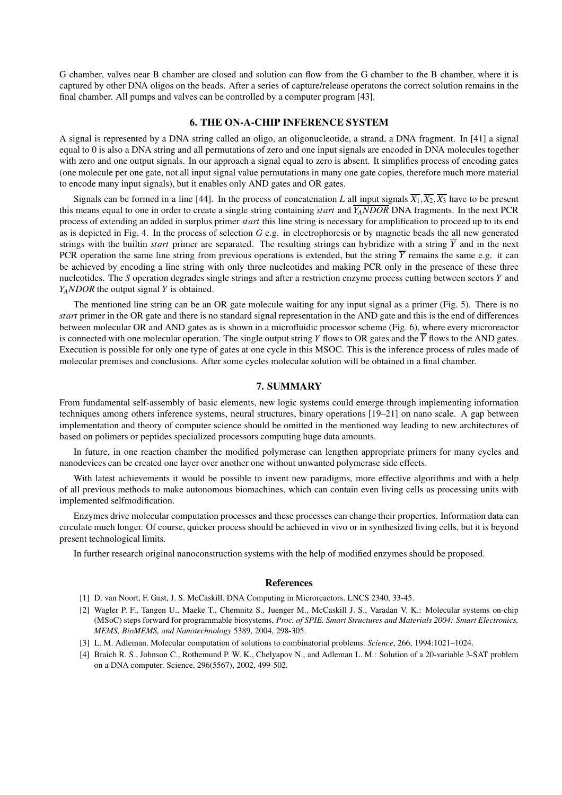G chamber, valves near B chamber are closed and solution can flow from the G chamber to the B chamber, where it is captured by other DNA oligos on the beads. After a series of capture/release operatons the correct solution remains in the final chamber. All pumps and valves can be controlled by a computer program [43].

## 6. THE ON-A-CHIP INFERENCE SYSTEM

A signal is represented by a DNA string called an oligo, an oligonucleotide, a strand, a DNA fragment. In [41] a signal equal to 0 is also a DNA string and all permutations of zero and one input signals are encoded in DNA molecules together with zero and one output signals. In our approach a signal equal to zero is absent. It simplifies process of encoding gates (one molecule per one gate, not all input signal value permutations in many one gate copies, therefore much more material to encode many input signals), but it enables only AND gates and OR gates.

Signals can be formed in a line [44]. In the process of concatenation *L* all input signals  $\overline{X_1}, \overline{X_2}, \overline{X_3}$  have to be present this means equal to one in order to create a single string containing *start* and *YANDOR* DNA fragments. In the next PCR process of extending an added in surplus primer *start* this line string is necessary for amplification to proceed up to its end as is depicted in Fig. 4. In the process of selection *G* e.g. in electrophoresis or by magnetic beads the all new generated strings with the builtin *start* primer are separated. The resulting strings can hybridize with a string  $\overline{Y}$  and in the next PCR operation the same line string from previous operations is extended, but the string  $\overline{Y}$  remains the same e.g. it can be achieved by encoding a line string with only three nucleotides and making PCR only in the presence of these three nucleotides. The *S* operation degrades single strings and after a restriction enzyme process cutting between sectors *Y* and *YANDOR* the output signal *Y* is obtained.

The mentioned line string can be an OR gate molecule waiting for any input signal as a primer (Fig. 5). There is no *start* primer in the OR gate and there is no standard signal representation in the AND gate and this is the end of differences between molecular OR and AND gates as is shown in a microfluidic processor scheme (Fig. 6), where every microreactor is connected with one molecular operation. The single output string *Y* flows to OR gates and the  $\overline{Y}$  flows to the AND gates. Execution is possible for only one type of gates at one cycle in this MSOC. This is the inference process of rules made of molecular premises and conclusions. After some cycles molecular solution will be obtained in a final chamber.

## 7. SUMMARY

From fundamental self-assembly of basic elements, new logic systems could emerge through implementing information techniques among others inference systems, neural structures, binary operations [19–21] on nano scale. A gap between implementation and theory of computer science should be omitted in the mentioned way leading to new architectures of based on polimers or peptides specialized processors computing huge data amounts.

In future, in one reaction chamber the modified polymerase can lengthen appropriate primers for many cycles and nanodevices can be created one layer over another one without unwanted polymerase side effects.

With latest achievements it would be possible to invent new paradigms, more effective algorithms and with a help of all previous methods to make autonomous biomachines, which can contain even living cells as processing units with implemented selfmodification.

Enzymes drive molecular computation processes and these processes can change their properties. Information data can circulate much longer. Of course, quicker process should be achieved in vivo or in synthesized living cells, but it is beyond present technological limits.

In further research original nanoconstruction systems with the help of modified enzymes should be proposed.

## References

- [1] D. van Noort, F. Gast, J. S. McCaskill. DNA Computing in Microreactors. LNCS 2340, 33-45.
- [2] Wagler P. F., Tangen U., Maeke T., Chemnitz S., Juenger M., McCaskill J. S., Varadan V. K.: Molecular systems on-chip (MSoC) steps forward for programmable biosystems, *Proc. of SPIE. Smart Structures and Materials 2004: Smart Electronics, MEMS, BioMEMS, and Nanotechnology* 5389, 2004, 298-305.
- [3] L. M. Adleman. Molecular computation of solutions to combinatorial problems. *Science*, 266, 1994:1021–1024.
- [4] Braich R. S., Johnson C., Rothemund P. W. K., Chelyapov N., and Adleman L. M.: Solution of a 20-variable 3-SAT problem on a DNA computer. Science, 296(5567), 2002, 499-502.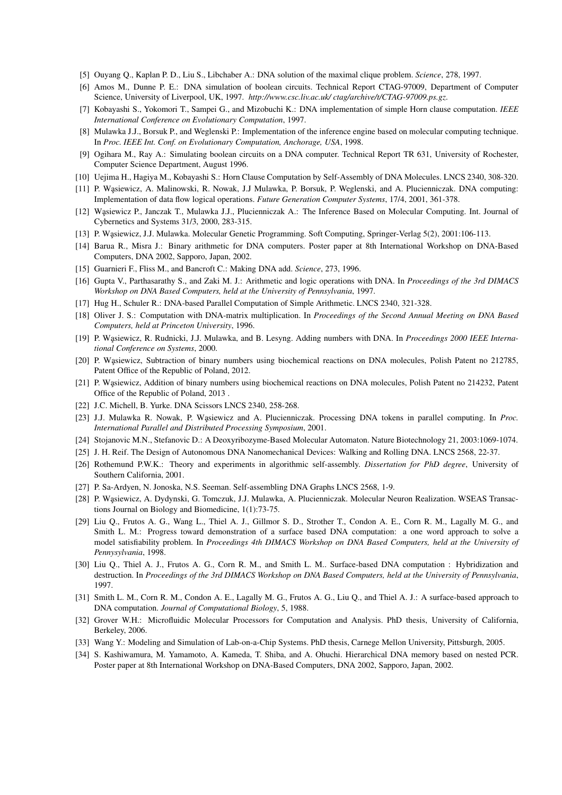- [5] Ouyang Q., Kaplan P. D., Liu S., Libchaber A.: DNA solution of the maximal clique problem. *Science*, 278, 1997.
- [6] Amos M., Dunne P. E.: DNA simulation of boolean circuits. Technical Report CTAG-97009, Department of Computer Science, University of Liverpool, UK, 1997. *http://www.csc.liv.ac.uk/ ctag/archive/t/CTAG-97009.ps.gz*.
- [7] Kobayashi S., Yokomori T., Sampei G., and Mizobuchi K.: DNA implementation of simple Horn clause computation. *IEEE International Conference on Evolutionary Computation*, 1997.
- [8] Mulawka J.J., Borsuk P., and Weglenski P.: Implementation of the inference engine based on molecular computing technique. In *Proc. IEEE Int. Conf. on Evolutionary Computation, Anchorage, USA*, 1998.
- [9] Ogihara M., Ray A.: Simulating boolean circuits on a DNA computer. Technical Report TR 631, University of Rochester, Computer Science Department, August 1996.
- [10] Uejima H., Hagiya M., Kobayashi S.: Horn Clause Computation by Self-Assembly of DNA Molecules. LNCS 2340, 308-320.
- [11] P. Wąsiewicz, A. Malinowski, R. Nowak, J.J Mulawka, P. Borsuk, P. Weglenski, and A. Plucienniczak. DNA computing: Implementation of data flow logical operations. *Future Generation Computer Systems*, 17/4, 2001, 361-378.
- [12] Wąsiewicz P., Janczak T., Mulawka J.J., Plucienniczak A.: The Inference Based on Molecular Computing. Int. Journal of Cybernetics and Systems 31/3, 2000, 283-315.
- [13] P. Wąsiewicz, J.J. Mulawka. Molecular Genetic Programming. Soft Computing, Springer-Verlag 5(2), 2001:106-113.
- [14] Barua R., Misra J.: Binary arithmetic for DNA computers. Poster paper at 8th International Workshop on DNA-Based Computers, DNA 2002, Sapporo, Japan, 2002.
- [15] Guarnieri F., Fliss M., and Bancroft C.: Making DNA add. *Science*, 273, 1996.
- [16] Gupta V., Parthasarathy S., and Zaki M. J.: Arithmetic and logic operations with DNA. In *Proceedings of the 3rd DIMACS Workshop on DNA Based Computers, held at the University of Pennsylvania*, 1997.
- [17] Hug H., Schuler R.: DNA-based Parallel Computation of Simple Arithmetic. LNCS 2340, 321-328.
- [18] Oliver J. S.: Computation with DNA-matrix multiplication. In *Proceedings of the Second Annual Meeting on DNA Based Computers, held at Princeton University*, 1996.
- [19] P. Wasiewicz, R. Rudnicki, J.J. Mulawka, and B. Lesyng. Adding numbers with DNA. In *Proceedings 2000 IEEE International Conference on Systems*, 2000.
- [20] P. Wasiewicz, Subtraction of binary numbers using biochemical reactions on DNA molecules, Polish Patent no 212785, Patent Office of the Republic of Poland, 2012.
- [21] P. Wasiewicz, Addition of binary numbers using biochemical reactions on DNA molecules, Polish Patent no 214232, Patent Office of the Republic of Poland, 2013 .
- [22] J.C. Michell, B. Yurke. DNA Scissors LNCS 2340, 258-268.
- [23] J.J. Mulawka R. Nowak, P. Wasiewicz and A. Plucienniczak. Processing DNA tokens in parallel computing. In *Proc. International Parallel and Distributed Processing Symposium*, 2001.
- [24] Stojanovic M.N., Stefanovic D.: A Deoxyribozyme-Based Molecular Automaton. Nature Biotechnology 21, 2003:1069-1074.
- [25] J. H. Reif. The Design of Autonomous DNA Nanomechanical Devices: Walking and Rolling DNA. LNCS 2568, 22-37.
- [26] Rothemund P.W.K.: Theory and experiments in algorithmic self-assembly. *Dissertation for PhD degree*, University of Southern California, 2001.
- [27] P. Sa-Ardyen, N. Jonoska, N.S. Seeman. Self-assembling DNA Graphs LNCS 2568, 1-9.
- [28] P. Wąsiewicz, A. Dydynski, G. Tomczuk, J.J. Mulawka, A. Plucienniczak. Molecular Neuron Realization. WSEAS Transactions Journal on Biology and Biomedicine, 1(1):73-75.
- [29] Liu Q., Frutos A. G., Wang L., Thiel A. J., Gillmor S. D., Strother T., Condon A. E., Corn R. M., Lagally M. G., and Smith L. M.: Progress toward demonstration of a surface based DNA computation: a one word approach to solve a model satisfiability problem. In *Proceedings 4th DIMACS Workshop on DNA Based Computers, held at the University of Pennysylvania*, 1998.
- [30] Liu Q., Thiel A. J., Frutos A. G., Corn R. M., and Smith L. M.. Surface-based DNA computation : Hybridization and destruction. In *Proceedings of the 3rd DIMACS Workshop on DNA Based Computers, held at the University of Pennsylvania*, 1997.
- [31] Smith L. M., Corn R. M., Condon A. E., Lagally M. G., Frutos A. G., Liu Q., and Thiel A. J.: A surface-based approach to DNA computation. *Journal of Computational Biology*, 5, 1988.
- [32] Grover W.H.: Microfluidic Molecular Processors for Computation and Analysis. PhD thesis, University of California, Berkeley, 2006.
- [33] Wang Y.: Modeling and Simulation of Lab-on-a-Chip Systems. PhD thesis, Carnege Mellon University, Pittsburgh, 2005.
- [34] S. Kashiwamura, M. Yamamoto, A. Kameda, T. Shiba, and A. Ohuchi. Hierarchical DNA memory based on nested PCR. Poster paper at 8th International Workshop on DNA-Based Computers, DNA 2002, Sapporo, Japan, 2002.